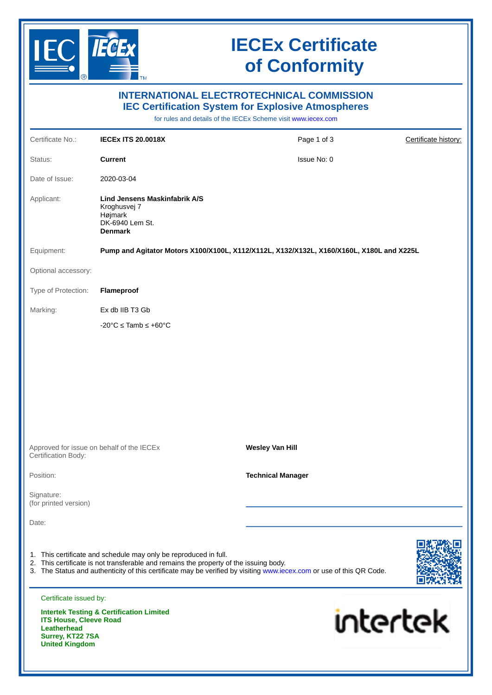

# **IECEx Certificate of Conformity**

| <b>INTERNATIONAL ELECTROTECHNICAL COMMISSION</b><br><b>IEC Certification System for Explosive Atmospheres</b><br>for rules and details of the IECEx Scheme visit www.iecex.com |                                                                                                                                                           |                                                                                                                      |                      |
|--------------------------------------------------------------------------------------------------------------------------------------------------------------------------------|-----------------------------------------------------------------------------------------------------------------------------------------------------------|----------------------------------------------------------------------------------------------------------------------|----------------------|
| Certificate No.:                                                                                                                                                               | <b>IECEX ITS 20.0018X</b>                                                                                                                                 | Page 1 of 3                                                                                                          | Certificate history: |
| Status:                                                                                                                                                                        | <b>Current</b>                                                                                                                                            | Issue No: 0                                                                                                          |                      |
| Date of Issue:                                                                                                                                                                 | 2020-03-04                                                                                                                                                |                                                                                                                      |                      |
| Applicant:                                                                                                                                                                     | <b>Lind Jensens Maskinfabrik A/S</b><br>Kroghusvej 7<br>Højmark<br>DK-6940 Lem St.<br><b>Denmark</b>                                                      |                                                                                                                      |                      |
| Equipment:                                                                                                                                                                     |                                                                                                                                                           | Pump and Agitator Motors X100/X100L, X112/X112L, X132/X132L, X160/X160L, X180L and X225L                             |                      |
| Optional accessory:                                                                                                                                                            |                                                                                                                                                           |                                                                                                                      |                      |
| Type of Protection:                                                                                                                                                            | Flameproof                                                                                                                                                |                                                                                                                      |                      |
| Marking:                                                                                                                                                                       | Ex db IIB T3 Gb                                                                                                                                           |                                                                                                                      |                      |
|                                                                                                                                                                                | $-20^{\circ}$ C $\leq$ Tamb $\leq$ +60 $^{\circ}$ C                                                                                                       |                                                                                                                      |                      |
|                                                                                                                                                                                | Approved for issue on behalf of the IECEx                                                                                                                 | <b>Wesley Van Hill</b>                                                                                               |                      |
| Certification Body:                                                                                                                                                            |                                                                                                                                                           |                                                                                                                      |                      |
| Position:                                                                                                                                                                      |                                                                                                                                                           | <b>Technical Manager</b>                                                                                             |                      |
| Signature:<br>(for printed version)                                                                                                                                            |                                                                                                                                                           |                                                                                                                      |                      |
| Date:                                                                                                                                                                          |                                                                                                                                                           |                                                                                                                      |                      |
|                                                                                                                                                                                | 1. This certificate and schedule may only be reproduced in full.<br>2. This certificate is not transferable and remains the property of the issuing body. | 3. The Status and authenticity of this certificate may be verified by visiting www.iecex.com or use of this QR Code. |                      |
| Certificate issued by:<br><b>ITS House, Cleeve Road</b><br><b>Leatherhead</b><br>Surrey, KT22 7SA<br><b>United Kingdom</b>                                                     | <b>Intertek Testing &amp; Certification Limited</b>                                                                                                       | <b>intertek</b>                                                                                                      |                      |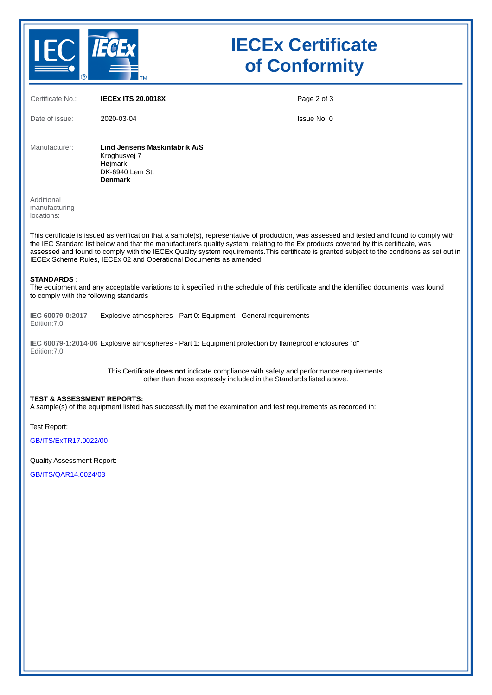

# **IECEx Certificate of Conformity**

| Certificate No.:                                            | <b>IECEX ITS 20.0018X</b>                                                                     | Page 2 of 3                                                                                                                                                                                                                                                                                                                                                                                                                         |
|-------------------------------------------------------------|-----------------------------------------------------------------------------------------------|-------------------------------------------------------------------------------------------------------------------------------------------------------------------------------------------------------------------------------------------------------------------------------------------------------------------------------------------------------------------------------------------------------------------------------------|
| Date of issue:                                              | 2020-03-04                                                                                    | Issue No: 0                                                                                                                                                                                                                                                                                                                                                                                                                         |
| Manufacturer:                                               | Lind Jensens Maskinfabrik A/S<br>Kroghusvej 7<br>Højmark<br>DK-6940 Lem St.<br><b>Denmark</b> |                                                                                                                                                                                                                                                                                                                                                                                                                                     |
| Additional<br>manufacturing<br>locations:                   |                                                                                               |                                                                                                                                                                                                                                                                                                                                                                                                                                     |
|                                                             | IECEx Scheme Rules, IECEx 02 and Operational Documents as amended                             | This certificate is issued as verification that a sample(s), representative of production, was assessed and tested and found to comply with<br>the IEC Standard list below and that the manufacturer's quality system, relating to the Ex products covered by this certificate, was<br>assessed and found to comply with the IECEx Quality system requirements. This certificate is granted subject to the conditions as set out in |
| <b>STANDARDS:</b><br>to comply with the following standards |                                                                                               | The equipment and any acceptable variations to it specified in the schedule of this certificate and the identified documents, was found                                                                                                                                                                                                                                                                                             |
| IEC 60079-0:2017<br>Edition: 7.0                            | Explosive atmospheres - Part 0: Equipment - General requirements                              |                                                                                                                                                                                                                                                                                                                                                                                                                                     |
| Edition: 7.0                                                |                                                                                               | IEC 60079-1:2014-06 Explosive atmospheres - Part 1: Equipment protection by flameproof enclosures "d"                                                                                                                                                                                                                                                                                                                               |
|                                                             |                                                                                               | This Certificate does not indicate compliance with safety and performance requirements<br>other than those expressly included in the Standards listed above.                                                                                                                                                                                                                                                                        |
| <b>TEST &amp; ASSESSMENT REPORTS:</b>                       |                                                                                               | A sample(s) of the equipment listed has successfully met the examination and test requirements as recorded in:                                                                                                                                                                                                                                                                                                                      |
| Test Report:                                                |                                                                                               |                                                                                                                                                                                                                                                                                                                                                                                                                                     |
| GB/ITS/ExTR17.0022/00                                       |                                                                                               |                                                                                                                                                                                                                                                                                                                                                                                                                                     |
| Quality Assessment Report:                                  |                                                                                               |                                                                                                                                                                                                                                                                                                                                                                                                                                     |
| GB/ITS/QAR14.0024/03                                        |                                                                                               |                                                                                                                                                                                                                                                                                                                                                                                                                                     |
|                                                             |                                                                                               |                                                                                                                                                                                                                                                                                                                                                                                                                                     |
|                                                             |                                                                                               |                                                                                                                                                                                                                                                                                                                                                                                                                                     |
|                                                             |                                                                                               |                                                                                                                                                                                                                                                                                                                                                                                                                                     |
|                                                             |                                                                                               |                                                                                                                                                                                                                                                                                                                                                                                                                                     |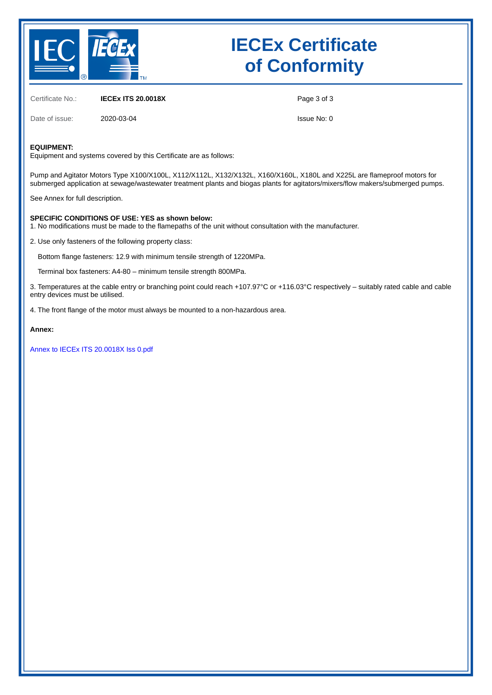

# **IECEx Certificate of Conformity**

Certificate No.: **IECEx ITS 20.0018X**

Page 3 of 3

Date of issue: 2020-03-04

Issue No: 0

#### **EQUIPMENT:**

Equipment and systems covered by this Certificate are as follows:

Pump and Agitator Motors Type X100/X100L, X112/X112L, X132/X132L, X160/X160L, X180L and X225L are flameproof motors for submerged application at sewage/wastewater treatment plants and biogas plants for agitators/mixers/flow makers/submerged pumps.

See Annex for full description.

#### **SPECIFIC CONDITIONS OF USE: YES as shown below:**

1. No modifications must be made to the flamepaths of the unit without consultation with the manufacturer.

2. Use only fasteners of the following property class:

Bottom flange fasteners: 12.9 with minimum tensile strength of 1220MPa.

Terminal box fasteners: A4-80 – minimum tensile strength 800MPa.

3. Temperatures at the cable entry or branching point could reach +107.97°C or +116.03°C respectively – suitably rated cable and cable entry devices must be utilised.

4. The front flange of the motor must always be mounted to a non-hazardous area.

#### **Annex:**

[Annex to IECEx ITS 20.0018X Iss 0.pdf](https://www.iecex-certs.com/deliverables/CERT/46903/view)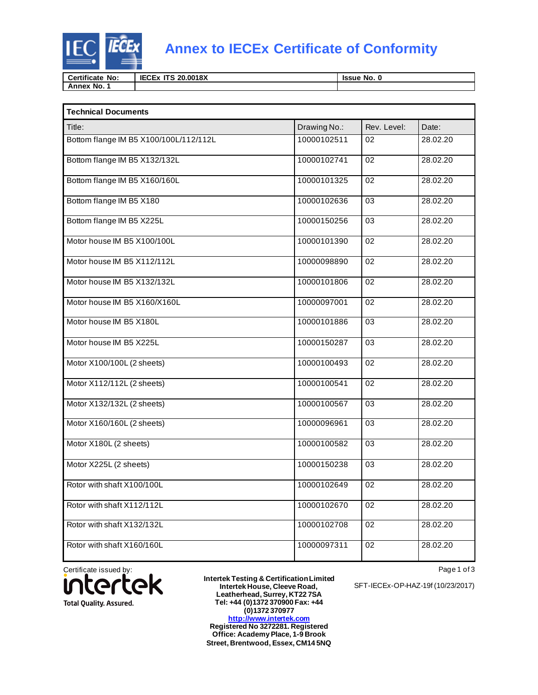

## **Annex to IECEx Certificate of Conformity**

| <b>Certificate</b><br>No: | <b>IECEx</b><br>20.0018X<br>$\mathbf{r}$ | No. 0<br><b>Issue</b> |
|---------------------------|------------------------------------------|-----------------------|
| No.<br>Annex              |                                          |                       |

| <b>Technical Documents</b>             |              |                 |          |
|----------------------------------------|--------------|-----------------|----------|
| Title:                                 | Drawing No.: | Rev. Level:     | Date:    |
| Bottom flange IM B5 X100/100L/112/112L | 10000102511  | 02              | 28.02.20 |
| Bottom flange IM B5 X132/132L          | 10000102741  | 02              | 28.02.20 |
| Bottom flange IM B5 X160/160L          | 10000101325  | 02              | 28.02.20 |
| Bottom flange IM B5 X180               | 10000102636  | 03              | 28.02.20 |
| Bottom flange IM B5 X225L              | 10000150256  | 03              | 28.02.20 |
| Motor house IM B5 X100/100L            | 10000101390  | 02              | 28.02.20 |
| Motor house IM B5 X112/112L            | 10000098890  | 02              | 28.02.20 |
| Motor house IM B5 X132/132L            | 10000101806  | 02              | 28.02.20 |
| Motor house IM B5 X160/X160L           | 10000097001  | 02              | 28.02.20 |
| Motor house IM B5 X180L                | 10000101886  | 03              | 28.02.20 |
| Motor house IM B5 X225L                | 10000150287  | 03              | 28.02.20 |
| Motor X100/100L (2 sheets)             | 10000100493  | 02              | 28.02.20 |
| Motor X112/112L (2 sheets)             | 10000100541  | 02              | 28.02.20 |
| Motor X132/132L (2 sheets)             | 10000100567  | 03              | 28.02.20 |
| Motor X160/160L (2 sheets)             | 10000096961  | 03              | 28.02.20 |
| Motor X180L (2 sheets)                 | 10000100582  | 03              | 28.02.20 |
| Motor X225L (2 sheets)                 | 10000150238  | $\overline{03}$ | 28.02.20 |
| Rotor with shaft X100/100L             | 10000102649  | 02              | 28.02.20 |
| Rotor with shaft X112/112L             | 10000102670  | 02              | 28.02.20 |
| Rotor with shaft X132/132L             | 10000102708  | 02              | 28.02.20 |
| Rotor with shaft X160/160L             | 10000097311  | 02              | 28.02.20 |

Certificate issued by:<br> **intertek** U **Total Quality. Assured.** 

**Intertek Testing & Certification Limited Intertek House, Cleeve Road, Leatherhead, Surrey, KT22 7SA Tel: +44 (0)1372 370900 Fax: +44 (0)1372 370977 [http://www.intertek.com](http://www.intertek.com/) Registered No 3272281. Registered Office: Academy Place, 1-9 Brook Street, Brentwood, Essex, CM14 5NQ**

Page 1 of 3

SFT-IECEx-OP-HAZ-19f (10/23/2017)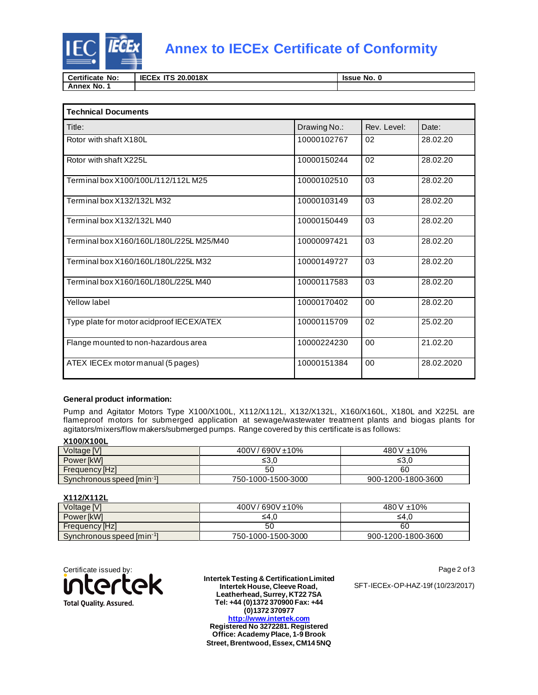

## **Annex to IECEx Certificate of Conformity**

| <b>Certificate</b><br>No: | <b>IECEx</b><br>20.0018X<br>$-1$ | No. 0<br><b>Issue</b> |
|---------------------------|----------------------------------|-----------------------|
| No.<br>Annex              |                                  |                       |

| <b>Technical Documents</b>                |              |                |            |  |
|-------------------------------------------|--------------|----------------|------------|--|
| Title:                                    | Drawing No.: | Rev. Level:    | Date:      |  |
| Rotor with shaft X180L                    | 10000102767  | 02             | 28.02.20   |  |
| Rotor with shaft X225L                    | 10000150244  | 0 <sub>2</sub> | 28.02.20   |  |
| Terminal box X100/100L/112/112L M25       | 10000102510  | 03             | 28.02.20   |  |
| Terminal box X132/132L M32                | 10000103149  | 03             | 28.02.20   |  |
| Terminal box X132/132L M40                | 10000150449  | 03             | 28.02.20   |  |
| Terminal box X160/160L/180L/225L M25/M40  | 10000097421  | 03             | 28.02.20   |  |
| Terminal box X160/160L/180L/225L M32      | 10000149727  | 03             | 28.02.20   |  |
| Terminal box X160/160L/180L/225L M40      | 10000117583  | 03             | 28.02.20   |  |
| Yellow label                              | 10000170402  | 00             | 28.02.20   |  |
| Type plate for motor acidproof IECEX/ATEX | 10000115709  | 02             | 25.02.20   |  |
| Flange mounted to non-hazardous area      | 10000224230  | 00             | 21.02.20   |  |
| ATEX IECEx motor manual (5 pages)         | 10000151384  | 00             | 28.02.2020 |  |

#### **General product information:**

Pump and Agitator Motors Type X100/X100L, X112/X112L, X132/X132L, X160/X160L, X180L and X225L are flameproof motors for submerged application at sewage/wastewater treatment plants and biogas plants for agitators/mixers/flow makers/submerged pumps. Range covered by this certificate is as follows:

#### **X100/X100L**

| Voltage [V]                           | / 690V ±10%<br>400V/ | 480 V $\pm$ 10%    |
|---------------------------------------|----------------------|--------------------|
| Power [kW]                            | ≤3.0                 | ≤3.0               |
| Frequency [Hz]                        | 50                   | 60                 |
| Synchronous speed [min <sup>-1]</sup> | 750-1000-1500-3000   | 900-1200-1800-3600 |

### **X112/X112L**

| Voltage [V]                           | 400V/690V±10%      | 480 V ±10%         |  |  |
|---------------------------------------|--------------------|--------------------|--|--|
| Power [kW]                            | ≤4.0               | ≤4.0               |  |  |
| Frequency [Hz]                        | 50                 | 60                 |  |  |
| Synchronous speed [min <sup>-1]</sup> | 750-1000-1500-3000 | 900-1200-1800-3600 |  |  |



**Intertek Testing & Certification Limited Intertek House, Cleeve Road, Leatherhead, Surrey, KT22 7SA Tel: +44 (0)1372 370900 Fax: +44 (0)1372 370977 [http://www.intertek.com](http://www.intertek.com/) Registered No 3272281. Registered Office: Academy Place, 1-9 Brook Street, Brentwood, Essex, CM14 5NQ**

Page 2 of 3

SFT-IECEx-OP-HAZ-19f (10/23/2017)